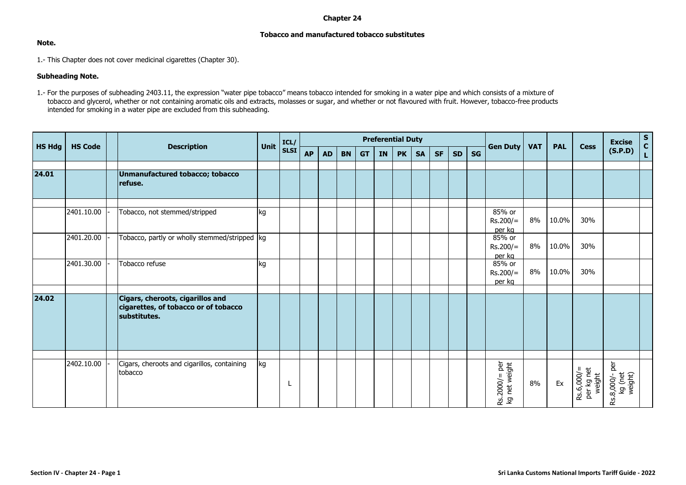## **Chapter 24**

## **Tobacco and manufactured tobacco substitutes**

## **Note.**

1.- This Chapter does not cover medicinal cigarettes (Chapter 30).

## **Subheading Note.**

1.- For the purposes of subheading 2403.11, the expression "water pipe tobacco" means tobacco intended for smoking in a water pipe and which consists of a mixture of tobacco and glycerol, whether or not containing aromatic oils and extracts, molasses or sugar, and whether or not flavoured with fruit. However, tobacco-free products intended for smoking in a water pipe are excluded from this subheading.

|               | <b>HS Code</b> |  | <b>Description</b>                                                                       | <b>Unit</b> | ICL/        | <b>Preferential Duty</b> |           |           |           |           |           |           |           |           |           |                                | <b>VAT</b> | <b>PAL</b> | <b>Cess</b>                        | <b>Excise</b>                        | $S$ <sub>C</sub> |
|---------------|----------------|--|------------------------------------------------------------------------------------------|-------------|-------------|--------------------------|-----------|-----------|-----------|-----------|-----------|-----------|-----------|-----------|-----------|--------------------------------|------------|------------|------------------------------------|--------------------------------------|------------------|
| <b>HS Hdg</b> |                |  |                                                                                          |             | <b>SLSI</b> | <b>AP</b>                | <b>AD</b> | <b>BN</b> | <b>GT</b> | <b>IN</b> | <b>PK</b> | <b>SA</b> | <b>SF</b> | <b>SD</b> | <b>SG</b> | <b>Gen Duty</b>                |            |            |                                    | (S.P.D)                              |                  |
|               |                |  |                                                                                          |             |             |                          |           |           |           |           |           |           |           |           |           |                                |            |            |                                    |                                      |                  |
| 24.01         |                |  | Unmanufactured tobacco; tobacco<br>refuse.                                               |             |             |                          |           |           |           |           |           |           |           |           |           |                                |            |            |                                    |                                      |                  |
|               | 2401.10.00     |  | Tobacco, not stemmed/stripped                                                            | kg          |             |                          |           |           |           |           |           |           |           |           |           | 85% or<br>$Rs.200/=$<br>per kg | 8%         | 10.0%      | 30%                                |                                      |                  |
|               | 2401.20.00     |  | Tobacco, partly or wholly stemmed/stripped kg                                            |             |             |                          |           |           |           |           |           |           |           |           |           | 85% or<br>$Rs.200/=$<br>per kg | 8%         | 10.0%      | 30%                                |                                      |                  |
|               | 2401.30.00     |  | Tobacco refuse                                                                           | kg          |             |                          |           |           |           |           |           |           |           |           |           | 85% or<br>$Rs.200/=$<br>per kg | 8%         | 10.0%      | 30%                                |                                      |                  |
| 24.02         |                |  | Cigars, cheroots, cigarillos and<br>cigarettes, of tobacco or of tobacco<br>substitutes. |             |             |                          |           |           |           |           |           |           |           |           |           |                                |            |            |                                    |                                      |                  |
|               |                |  |                                                                                          |             |             |                          |           |           |           |           |           |           |           |           |           |                                |            |            |                                    |                                      |                  |
|               | 2402.10.00     |  | Cigars, cheroots and cigarillos, containing<br>tobacco                                   | kg          |             |                          |           |           |           |           |           |           |           |           |           | Rs.2000/= per<br>kg net weight | 8%         | Ex         | Rs.6,000/=<br>per kg net<br>weight | Rs.8,000/- per<br>kg (net<br>weight) |                  |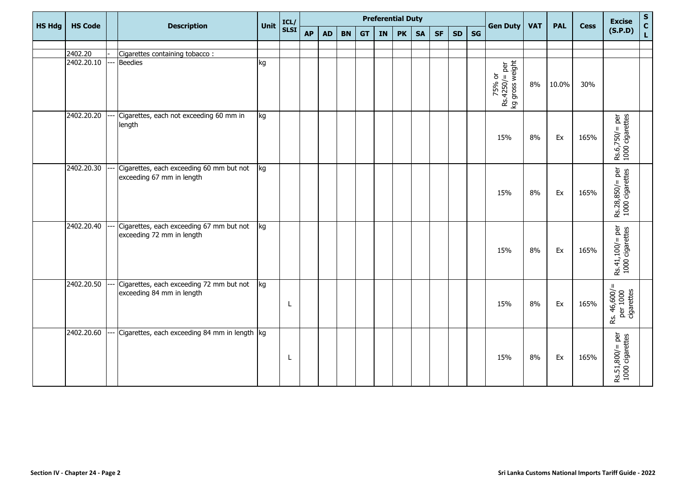| <b>HS Hdg</b> | <b>HS Code</b>        | <b>Description</b>                                                    | <b>Unit</b> | ICL/        | <b>Preferential Duty</b> |           |           |           |    |           |           |           |           |    |                                             | <b>Gen Duty</b><br><b>VAT</b> | <b>PAL</b> |             | <b>Excise</b>                          | $\mathsf{s}$  |
|---------------|-----------------------|-----------------------------------------------------------------------|-------------|-------------|--------------------------|-----------|-----------|-----------|----|-----------|-----------|-----------|-----------|----|---------------------------------------------|-------------------------------|------------|-------------|----------------------------------------|---------------|
|               |                       |                                                                       |             | <b>SLSI</b> | <b>AP</b>                | <b>AD</b> | <b>BN</b> | <b>GT</b> | IN | <b>PK</b> | <b>SA</b> | <b>SF</b> | <b>SD</b> | SG |                                             |                               |            | <b>Cess</b> | (S.P.D)                                | $\frac{c}{L}$ |
|               |                       |                                                                       |             |             |                          |           |           |           |    |           |           |           |           |    |                                             |                               |            |             |                                        |               |
|               | 2402.20<br>2402.20.10 | Cigarettes containing tobacco:<br><b>Beedies</b>                      | kg          |             |                          |           |           |           |    |           |           |           |           |    |                                             |                               |            |             |                                        |               |
|               |                       |                                                                       |             |             |                          |           |           |           |    |           |           |           |           |    | $Rs.4250/=per$<br>kg gross weight<br>75% or | 8%                            | 10.0%      | 30%         |                                        |               |
|               | 2402.20.20            | Cigarettes, each not exceeding 60 mm in<br>length                     | kg          |             |                          |           |           |           |    |           |           |           |           |    | 15%                                         | 8%                            | Ex         | 165%        | $Rs.6,750/=per$<br>1000 cigarettes     |               |
|               | 2402.20.30            | Cigarettes, each exceeding 60 mm but not<br>exceeding 67 mm in length | kg          |             |                          |           |           |           |    |           |           |           |           |    | 15%                                         | 8%                            | Ex         | 165%        | $Rs.28,850/=per$<br>1000 cigarettes    |               |
|               | 2402.20.40            | Cigarettes, each exceeding 67 mm but not<br>exceeding 72 mm in length | kg          |             |                          |           |           |           |    |           |           |           |           |    | 15%                                         | 8%                            | Ex         | 165%        | $Rs.41,100/ = per$<br>1000 cigarettes  |               |
|               | 2402.20.50            | Cigarettes, each exceeding 72 mm but not<br>exceeding 84 mm in length | kg          | L.          |                          |           |           |           |    |           |           |           |           |    | 15%                                         | 8%                            | Ex         | 165%        | Rs. 46,600/=<br>per 1000<br>cigarettes |               |
|               | 2402.20.60            | Cigarettes, each exceeding 84 mm in length  kg                        |             | L.          |                          |           |           |           |    |           |           |           |           |    | 15%                                         | 8%                            | Ex         | 165%        | $Rs.51,800/ = per$<br>1000 cigarettes  |               |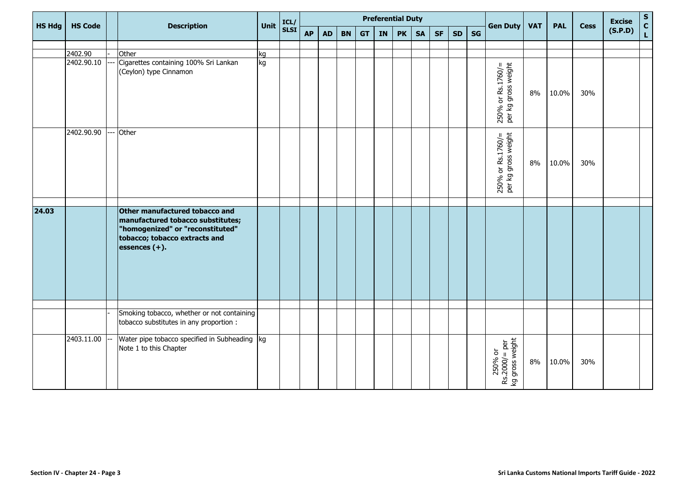|       | <b>HS Hdg</b><br><b>HS Code</b> |  | <b>Description</b>                                                                                                                                           | Unit     | ICL/        | <b>Preferential Duty</b> |           |           |           |    |           |           |           |           |    | <b>Gen Duty</b>                             | <b>VAT</b> | <b>PAL</b> | <b>Cess</b> | <b>Excise</b> | $\mathsf{s}$   |
|-------|---------------------------------|--|--------------------------------------------------------------------------------------------------------------------------------------------------------------|----------|-------------|--------------------------|-----------|-----------|-----------|----|-----------|-----------|-----------|-----------|----|---------------------------------------------|------------|------------|-------------|---------------|----------------|
|       |                                 |  |                                                                                                                                                              |          | <b>SLSI</b> | <b>AP</b>                | <b>AD</b> | <b>BN</b> | <b>GT</b> | IN | <b>PK</b> | <b>SA</b> | <b>SF</b> | <b>SD</b> | SG |                                             |            |            |             | (S.P.D)       | $\overline{c}$ |
|       |                                 |  |                                                                                                                                                              |          |             |                          |           |           |           |    |           |           |           |           |    |                                             |            |            |             |               |                |
|       | 2402.90<br>2402.90.10           |  | Other<br>Cigarettes containing 100% Sri Lankan                                                                                                               | ka<br>kg |             |                          |           |           |           |    |           |           |           |           |    |                                             |            |            |             |               |                |
|       |                                 |  | (Ceylon) type Cinnamon                                                                                                                                       |          |             |                          |           |           |           |    |           |           |           |           |    | 250% or Rs.1760/=<br>per kg gross weight    | 8%         | 10.0%      | 30%         |               |                |
|       | 2402.90.90                      |  | Other                                                                                                                                                        |          |             |                          |           |           |           |    |           |           |           |           |    | $250\%$ or Rs.1760/=<br>per kg gross weight | 8%         | 10.0%      | 30%         |               |                |
| 24.03 |                                 |  | Other manufactured tobacco and<br>manufactured tobacco substitutes;<br>"homogenized" or "reconstituted"<br>tobacco; tobacco extracts and<br>essences $(+)$ . |          |             |                          |           |           |           |    |           |           |           |           |    |                                             |            |            |             |               |                |
|       |                                 |  | Smoking tobacco, whether or not containing                                                                                                                   |          |             |                          |           |           |           |    |           |           |           |           |    |                                             |            |            |             |               |                |
|       |                                 |  | tobacco substitutes in any proportion :                                                                                                                      |          |             |                          |           |           |           |    |           |           |           |           |    |                                             |            |            |             |               |                |
|       | 2403.11.00                      |  | Water pipe tobacco specified in Subheading  kg<br>Note 1 to this Chapter                                                                                     |          |             |                          |           |           |           |    |           |           |           |           |    | 250% or<br>Rs.2000/= per<br>kg gross weight | 8%         | 10.0%      | 30%         |               |                |